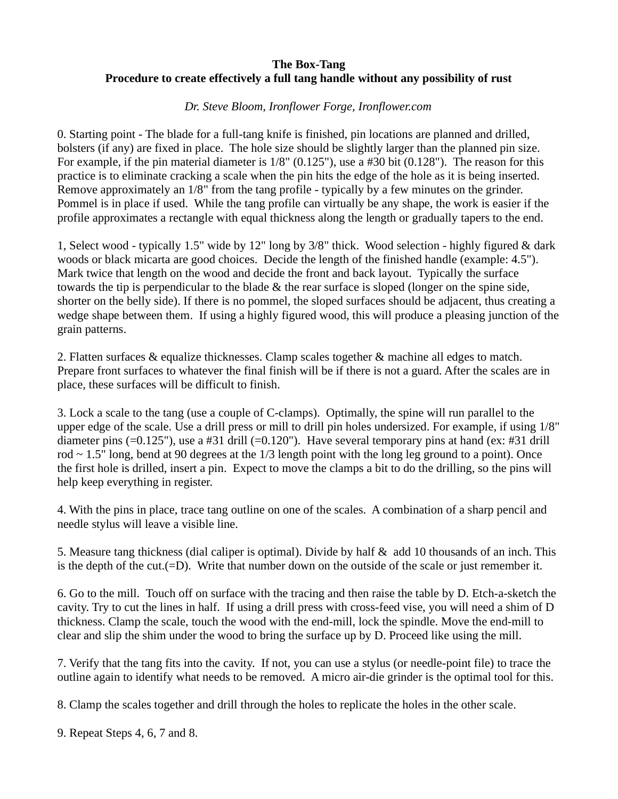## **The Box-Tang Procedure to create effectively a full tang handle without any possibility of rust**

## *Dr. Steve Bloom, Ironflower Forge, Ironflower.com*

0. Starting point - The blade for a full-tang knife is finished, pin locations are planned and drilled, bolsters (if any) are fixed in place. The hole size should be slightly larger than the planned pin size. For example, if the pin material diameter is  $1/8$ " (0.125"), use a #30 bit (0.128"). The reason for this practice is to eliminate cracking a scale when the pin hits the edge of the hole as it is being inserted. Remove approximately an 1/8" from the tang profile - typically by a few minutes on the grinder. Pommel is in place if used. While the tang profile can virtually be any shape, the work is easier if the profile approximates a rectangle with equal thickness along the length or gradually tapers to the end.

1, Select wood - typically 1.5" wide by 12" long by 3/8" thick. Wood selection - highly figured & dark woods or black micarta are good choices. Decide the length of the finished handle (example: 4.5"). Mark twice that length on the wood and decide the front and back layout. Typically the surface towards the tip is perpendicular to the blade & the rear surface is sloped (longer on the spine side, shorter on the belly side). If there is no pommel, the sloped surfaces should be adjacent, thus creating a wedge shape between them. If using a highly figured wood, this will produce a pleasing junction of the grain patterns.

2. Flatten surfaces & equalize thicknesses. Clamp scales together & machine all edges to match. Prepare front surfaces to whatever the final finish will be if there is not a guard. After the scales are in place, these surfaces will be difficult to finish.

3. Lock a scale to the tang (use a couple of C-clamps). Optimally, the spine will run parallel to the upper edge of the scale. Use a drill press or mill to drill pin holes undersized. For example, if using 1/8" diameter pins (=0.125"), use a #31 drill (=0.120"). Have several temporary pins at hand (ex: #31 drill rod  $\sim$  1.5" long, bend at 90 degrees at the 1/3 length point with the long leg ground to a point). Once the first hole is drilled, insert a pin. Expect to move the clamps a bit to do the drilling, so the pins will help keep everything in register.

4. With the pins in place, trace tang outline on one of the scales. A combination of a sharp pencil and needle stylus will leave a visible line.

5. Measure tang thickness (dial caliper is optimal). Divide by half & add 10 thousands of an inch. This is the depth of the cut.(=D). Write that number down on the outside of the scale or just remember it.

6. Go to the mill. Touch off on surface with the tracing and then raise the table by D. Etch-a-sketch the cavity. Try to cut the lines in half. If using a drill press with cross-feed vise, you will need a shim of D thickness. Clamp the scale, touch the wood with the end-mill, lock the spindle. Move the end-mill to clear and slip the shim under the wood to bring the surface up by D. Proceed like using the mill.

7. Verify that the tang fits into the cavity. If not, you can use a stylus (or needle-point file) to trace the outline again to identify what needs to be removed. A micro air-die grinder is the optimal tool for this.

8. Clamp the scales together and drill through the holes to replicate the holes in the other scale.

9. Repeat Steps 4, 6, 7 and 8.